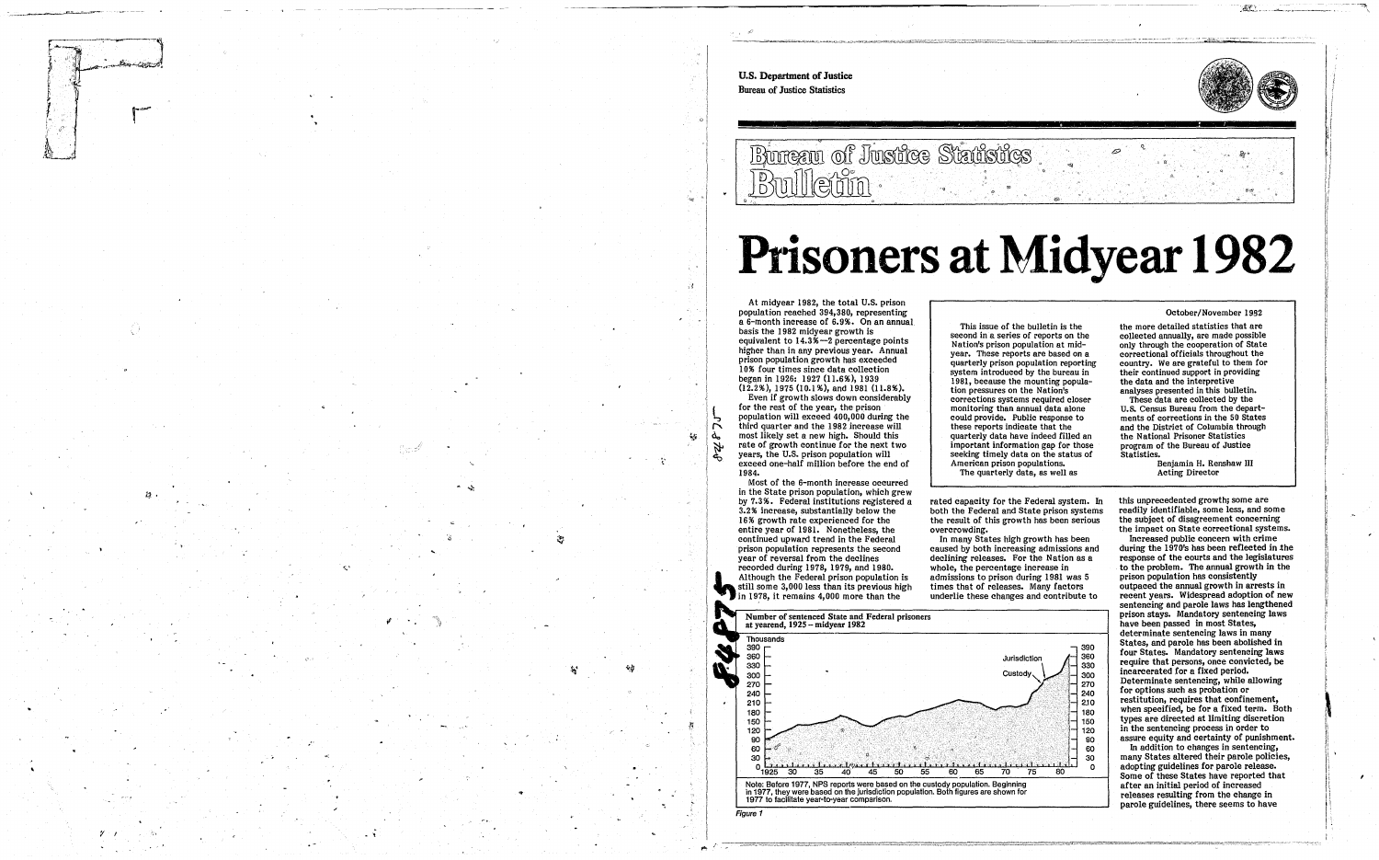" 0



## **Ptisoners at Midyear 1982**

\_\_\_<br>O

U.S. Department of Justice Bureau of Justice Statistics o Bureau of Justice Statistics Bulletin .. 34 At midyear 1982, the total U.S. prison a 6-month increase of 6.9%. On an annual This issue of the bulletin is the basis the 1982 midyear growth is second in a series of reports on the equivalent to 14.3%-2 percentage points Nation's prison population at mid-<br>year. These reports are based on a higher than in any previous year. Annual prison population growth has exceeded quarterly prison population reporting 10% four times since data collection system introduced by the bureau in began in 1926: 1927 (11.6%), 1939 1981, because the mounting popula-(12.2%),1975 (I0.1 %), and 1981 (11.8%). tion pressures on the Nation's Even if growth slows down considerably corrections systems required closer for the rest of the year, the prison monitoring than annual data alone popUlation will exceed 400,000 during the could provide. Public response to third quarter and the 1982 increase will these reports indicate that the<br>quarterly data have indeed filled an most likely set a new high. Should this  $\mathcal{L}_{\mathcal{A}}$ ፌ important information gap for those rate of growth continue for the next two A years, the U.S. prison population will seeking timely data on the status of 0 - 2007년 - 2007년 - 2007년 - 2007년 - 2007년 - 2007년 - 2007년 - 2007년 - 2007년 - 2007년 - 2007년 - 2007년 - 2007년 - 20<br>대한민국의 대한민국의 대한민국의 대한민국의 대한민국의 대한민국의 대한민국의 대한민국의 대한민국의 대한민국의 대한민국의 대한민국의 대한민국의 대한민국의 대한민국의 대한민국의 대한민국의 대한민국의 대한 exceed one-half million before the end of American prison populations. 1984. The quarterly data, as well as Most of the 6-month increase occurred in the State prison population, which grew<br>by 7.3%. Federal institutions registered a *i?*  rated capacity for the Federal system. In 3.2% increase, substantially below the both the Federal and State prison systems , , 16% growth rate experienced for the the result of this growth has been serious entire year of 1981. Nonetheless, the overcrowding. In many States high growth has been continued upward trend in the Federal prison population represents the second caused by both increasing admissions and year of reversal from the declines declining releases. For the Nation as a recorded during 1978, 1979, and 1980. whole, the percentage increase in Although the Federal prison population is admissions to prison during 1981 was 5 still some 3,000 less than its previous high times that of releases. Many factors in 1978, it remains 4,000 more than the underlie these changes and contribute to Number of sentenced State and Federal prisoners at yearend, 1925 – midyear 1982  $\boldsymbol{a}$ Thousands 390 390 360 360 **Jurisdiction** 330 330 W. 300 .~' 300 270 270 240 240 2.10  $-210 +$ .' 180 180 150 150 120 120 90 90 60 60 30 لىل*تى*<br>80 o  $^{0}$ <sub>1925</sub> 40 50  $\overline{55}$  $\overline{70}$ Note: Before 1977, NPS reports were based on the custody population. Beginning in 1977. they were based on the jurisdiction population. Both figures are shown for .. 1977 to facilitate year-te-year comparison. Figure 1



this unprecedented growth; some are<br>readily identifiable, some less, and some the subject of disagreement concerning the impact on State correctional systems. |<br>|-<br>|-<br>|i<br>Internet i· ~ )i Ii /1, ~: I

## October/November 1932

the more detailed statistics that are collected annually, are made possible only through the cooperation of State correctional officials throughout the country. We are grateful to them for their continued support in providing the data and the interpretive analyses presented in this bulletin.

These data are collected by the U.s. Census Bureau from the departments of corrections in the 50 States and the District of Columbia through the National Prisoner Statistics program of the Bureau of Justice Statistics.

Benjamin H. Renshaw III Acting Director

Increased public concern with crime during the 1970's has been reflected in the response of the courts and the legislatures to the problem. The annual growth in the prison population has consistently outpaced the annual growth in arrests in recent years. Widespread adoption of new sentencing and parole laws has lengthened prison stays. Mandatory sentencing laws have been passed in most States, determinate sentencing laws in many States, and parole has been abolished in four States. Mandatory sentencing laws require that persons, once convicted, be incarcerated for a fixed period. Determinate sentencing, while allowing for options such as probation or restitution, requires that confinement, when specified, be for a fixed term. Both types are directed at limiting discretion in the sentencing process in order to assure equity and certainty of punishment.

In addition to changes in sentencing, many States altered their parole policies, adopting guidelines for parole release. Some of these States have reported that after an initial period of increased releases resulting from the change in parole guidelines, there seems to have

.1 Ii ! ! 'j

-- ~~--~

,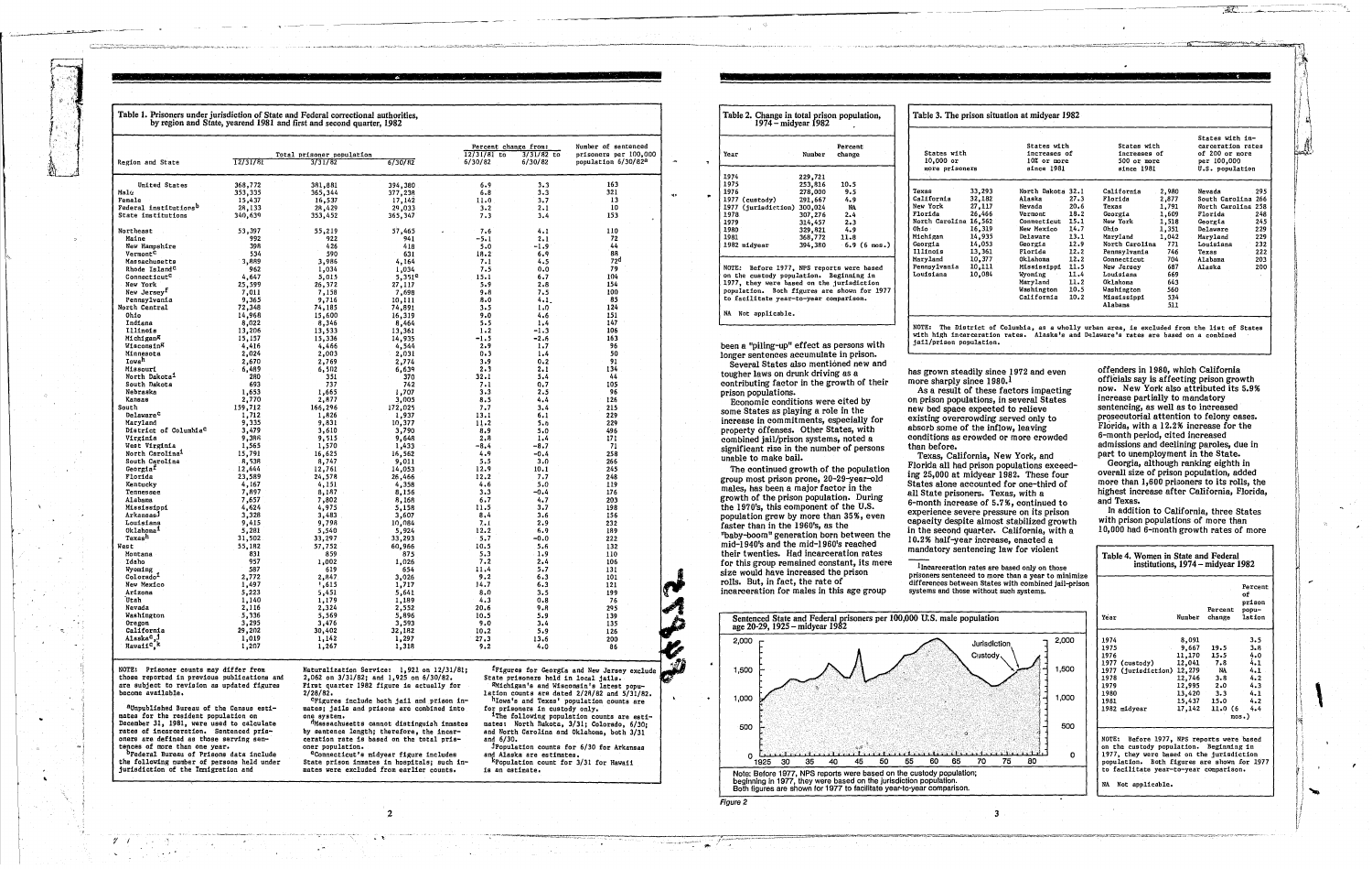|                                                         |                   |                                      |                    | Percent change from:<br>$12/31/81$ to | 3/31/82 to  | Number of sentenced<br>prisoners per 100,000 |
|---------------------------------------------------------|-------------------|--------------------------------------|--------------------|---------------------------------------|-------------|----------------------------------------------|
| <b>Region and State</b>                                 | $\sqrt{12/31/81}$ | Total prisoner population<br>3/31/82 | 6/30/82            | 6/30/82                               | 6/30/82     | population 6/30/82ª                          |
| United States                                           | 368,772           | 381,881                              | 394,380            | 6.9                                   | 3.3         | 163                                          |
| Malu                                                    | 353,335           | 365,344                              | 377,238            | 6.8                                   | 3.3         | 321                                          |
| Female                                                  | 15,437            | 16,537                               | 17,142             | 11.0                                  | 3.7         | 13                                           |
| Federal institutions <sup>b</sup><br>State institutions | 28,133<br>340,639 | 28,429<br>353,452                    | 29,033<br>365,347  | 3.2<br>7.3                            | 2.1<br>3.4  | 10<br>153                                    |
|                                                         |                   |                                      |                    |                                       |             |                                              |
| Northeast<br>Maine                                      | 53,397<br>992     | 55,219<br>922                        | 57,465<br>941      | 7.6<br>-5.1                           | 4.1<br>2.1  | 110<br>72                                    |
| New Hampshire                                           | 39 R              | 426                                  | 418                | 5.0                                   | -1.9        | 44                                           |
| Vermont <sup>c</sup>                                    | 534               | 590                                  | 631                | 18.2                                  | 6,9         | 88                                           |
| Massachusetts                                           | 3,889             | 3,986                                | 4,164              | 7.1                                   | 4.5         | 72 <sup>d</sup>                              |
| Rhode Island <sup>C</sup>                               | 962               | 1,034                                | 1,034              | 7.5                                   | 0.0         | 79                                           |
| Connecticut <sup>C</sup>                                | 4,647             | 5,015                                | 5,351 <sup>e</sup> | 15.1                                  | 6.7         | 104                                          |
| New York                                                | 25,599            | 26,372                               | 27,117             | 5.9                                   | 2.8         | 154                                          |
| New Jersey <sup>f</sup>                                 | 7,011             | 7,158                                | 7,698              | $9 - 8$                               | 7.5         | 100                                          |
| Pennsylvania                                            | 9,365             | 9,716                                | 10,111             | 8.0                                   | 4.1         | 85                                           |
| North Central                                           | 72,348            | 74,185                               | 74,891             | 3.5                                   | 1.0         | 124<br>151                                   |
| Ohio<br>Indiana                                         | 14,968<br>8,022   | 15,600<br>8,346                      | 16,319<br>8,464    | 9.0<br>5.5                            | 4.6<br>1.4  | 147                                          |
| <b>Illinois</b>                                         | 13,206            | 13,533                               | 13,361             | $1 - 2$                               | -1.3        | 106                                          |
| Michigan <sup>g</sup>                                   | 15,157            | 15,336                               | 14,935             | $-1.5$                                | $-2.6$      | 163                                          |
| Wisconsin <sup>g</sup>                                  | 4,416             | 4,466                                | 4,544              | 2.9                                   | 1.7         | 96                                           |
| Minneaota                                               | 2,024             | 2,003                                | 2,031              | 0.3                                   | 1.4         | 50                                           |
| Iowa <sup>n</sup>                                       | 2,670             | 2,769                                | 2,774              | 3.9                                   | 0.2         | 91                                           |
| Missouri                                                | 6,489             | 6,502                                | 6,639              | 2.3                                   | 2.1         | 134                                          |
| North Dakota <sup>1</sup>                               | 280               | 351                                  | 370                | 32.1                                  | 5.4         | 44                                           |
| South Dakota                                            | 693               | 737                                  | 742                | 7.1                                   | 0.7         | 105                                          |
| Nebraska<br>Kansas                                      | 1,653<br>2,770    | 1,665<br>2,877                       | 1,707<br>3,005     | 3.3<br>8.5                            | 2.5<br>4.4  | 96<br>126                                    |
| South                                                   | 159,712           | 166,296                              | 172,025            | 7.7                                   | 3.4         | 215                                          |
| Delaware <sup>c</sup>                                   | 1,712             | 1,826                                | 1,937              | 13.1                                  | 6.1         | 229                                          |
| Maryland                                                | 9,335             | 9,831                                | 10,377             | 11.2                                  | 5.6         | 229                                          |
| District of Columbia <sup>C</sup>                       | 3,479             | 3,610                                | 3,790              | 8.9                                   | 5.0         | 496                                          |
| Virginia                                                | 9,386             | 9,515                                | 9,648              | 2.8                                   | 1.4         | 171                                          |
| <b>West Virginia</b>                                    | 1,565             | 1,570                                | 1,433              | $-8,4$                                | -8.7        | -71                                          |
| North Carolina <sup>1</sup>                             | 15,791            | 16,625                               | 16,562             | 4.9                                   | $-0.4$      | 258                                          |
| South Carolina                                          | 8,538             | 8,747                                | 9,011              | 5.5                                   | 3.0         | 266                                          |
| Georgia <sup>r</sup><br>Florida                         | 12,444<br>23,589  | 12,761<br>24,578                     | 14,053             | 12.9<br>12.2                          | 10.1<br>7.7 | 245<br>248                                   |
| Kentucky                                                | 4,167             | 4,151                                | 26,466<br>4,358    | 4.6                                   | 5.0         | 119                                          |
| Tennessee                                               | 7,897             | 8,187                                | 8,156              | 3.3                                   | $-0.4$      | 176                                          |
| Alabama                                                 | 7,657             | 7,802                                | 8,168              | 6.7                                   | 4.7         | 203                                          |
| Mississippi                                             | 4,624             | 4,975                                | 5,158              | 11.5                                  | 3.7         | 198                                          |
| ArkansasJ                                               | 3,328             | 3,483                                | 3,607              | 8.4                                   | 3.6         | 156                                          |
| Louisiana                                               | 9,415             | 9,798                                | 10,084             | 7.1                                   | 2.9         | 232                                          |
| Oklahoma <sup>1</sup><br>Texas <sup>h</sup>             | 5,281             | 5,540                                | 5,924              | 12.2                                  | 6.9         | 189                                          |
|                                                         | 31,502            | 33,297                               | 33,293             | 5.7                                   | $-0.0$      | 222                                          |
| West<br>Montana                                         | 55,182<br>831     | 57,752<br>859                        | 60,966<br>875      | 10.5<br>5.3                           | 5.6<br>1.9  | 132<br>110                                   |
| Idaho                                                   | 957               | 1,002                                | 1,026              | 7.2                                   | 2,4         | 106                                          |
| Wyoming                                                 | 587               | 619                                  | 654                | 11.4                                  | 5.7         | 131                                          |
| $\texttt{Colorado}^1$                                   | 2,772             | 2,847                                | 3,026              | 9.2                                   | 6.3         | 101                                          |
| New Mexico                                              | 1,497             | 1,615                                | 1,717              | 14.7                                  | 6.3         | 121                                          |
| Arizona                                                 | 5,223             | 5,451                                | 5,641              | 8.0                                   | 3.5         | 199                                          |
| Utah                                                    | 1,140             | 1,179                                | 1,189              | 4.3                                   | $0 - 8$     | 76                                           |
| Nevada                                                  | 2,116             | 2,324                                | 2,552              | 20.6                                  | 9.B         | 295                                          |
| Washington                                              | 5,336             | 5,569                                | 5,896              | 10.5                                  | 5.9         | 139                                          |
| Oregon<br>California                                    | 3,295<br>29,202   | 3,476                                | 3,593              | 9.0                                   | 3.4         | 135                                          |
| Alaska <sup>c</sup> , 1                                 | 1,019             | 30,402<br>1,142                      | 32,182<br>1,297    | 10.2<br>27.3                          | 5.9<br>13.6 | 126<br>200                                   |
| Hawaii <sup>c</sup> , k                                 |                   |                                      |                    |                                       |             |                                              |

| 229,721<br>253,816<br>10.5<br>278,000<br>9.5<br>291,667<br>4.9.<br>.977 (jurisdiction) 300,024<br>NA.<br>307,276<br>2.4<br>314,457<br>2.3<br>329,821<br>4.9<br>368,772<br>11.8<br>394,380<br>OTE: Before 1977, NPS reports were based<br>n the custody population. Beginning in<br>977, they were based on the jurisdiction | ear                               | Number | Percent<br>change |
|-----------------------------------------------------------------------------------------------------------------------------------------------------------------------------------------------------------------------------------------------------------------------------------------------------------------------------|-----------------------------------|--------|-------------------|
|                                                                                                                                                                                                                                                                                                                             | 974                               |        |                   |
|                                                                                                                                                                                                                                                                                                                             | 975                               |        |                   |
| $-6.9$ (6 mos.)                                                                                                                                                                                                                                                                                                             | 976                               |        |                   |
|                                                                                                                                                                                                                                                                                                                             | 977 (custody)                     |        |                   |
|                                                                                                                                                                                                                                                                                                                             |                                   |        |                   |
|                                                                                                                                                                                                                                                                                                                             | 978.                              |        |                   |
|                                                                                                                                                                                                                                                                                                                             |                                   |        |                   |
|                                                                                                                                                                                                                                                                                                                             |                                   |        |                   |
|                                                                                                                                                                                                                                                                                                                             |                                   |        |                   |
|                                                                                                                                                                                                                                                                                                                             |                                   |        |                   |
| opulation. Both figures are shown for 1977                                                                                                                                                                                                                                                                                  | 979<br>980.<br>981<br>982 midyear |        |                   |
|                                                                                                                                                                                                                                                                                                                             |                                   |        |                   |

been a "piling-up" effect as persons with longer sentences accumulate in prison. Several States also mentioned new and tougher laws on drunk driving as a contributing factor in the growth of their prison populations.

Economic conditions were cited by some States as playing a role in the increase in commitments, especially for property offenses. Other States, with combined jail/prison systems, noted a significant rise in the number of persons unable to make bail.

The continued growth of the population group most prison prone, 20-29-year-old males, has been a major factor in the growth of the prison population. During the 1970's, this component of the U.S. population grew by more than 35%, even faster than in the 1960's, as the "baby-boom" generation born between the mid-1940's and the mid-1960's reached their twenties. Had incarceration rates for this group remained constant, its mere size would have increased the prison rolls. But, in fact, the rate of incarceration for males in this age group



NOTE: Prisoner counts may differ from those reported in previous publications and are subject to revision as updated figures become available.

aUnpublished Bureau of the Census estimates for the resident population on December 31, 1981, were used to calculate rates of incarceration. Sentenced pris-<br>oners are defined as those serving sentences of more than one year.

<sup>b</sup>Federal Bureau of Prisons data include the following number of persons held under<br>jurisdiction of the Immigration and Naturalization Service: 1,921 on 12/31/81;<br>2,062 on 3/31/82; and 1,925 on 6/30/82. First quarter 1982 figure is actually for  $2/28/82$ .

eyerures include both jail and prison in-<br>mates; jails and prisons are combined into one system.

Massachusetts cannot distinguish inmates by sentence length; therefore, the incar-<br>ceration rate is based on the total prisoner population.

nnecticut's midyear figure includes State prison inmates in hospitals; such in-<br>mates were excluded from earlier counts.

frigures for Georgia and New Jersey exclud State prisoners held in local jails. **AMichigan's and Wisconsin's latest popu-**

lation counts are dated  $2/28/82$  and  $5/31/82$ . hlowa's and Texas' population counts are

for prisoners in custody only.<br><sup>1</sup>The following population counts are estimates: North Dakota, 3/31; Colorado, 6/30; and North Carolina and Oklahoma, both 3/31 and  $6/30$ .

JPopulation counts for 6/30 for Arkansas and Alaska are estimates.<br>Repulation count for 3/31 for Hawaii

 $\label{eq:1} \begin{minipage}{0.9\textwidth} \begin{minipage}{0.9\textwidth} \centering \begin{minipage}{0.9\textwidth} \centering \end{minipage} \begin{minipage}{0.9\textwidth} \centering \begin{minipage}{0.9\textwidth} \centering \end{minipage} \begin{minipage}{0.9\textwidth} \centering \end{minipage} \begin{minipage}{0.9\textwidth} \centering \end{minipage} \begin{minipage}{0.9\textwidth} \centering \end{minipage} \begin{minipage}{0.9\textwidth} \centering \end{minipage} \begin{minipage}{0.9\textwidth} \centering \end{min$ 

is an estimate.

conditions as crowded or more crowded than before. Texas, California, New York, and Florida all had prison populations exceeding 25,000 at midyear 1982. These four States alone accounted for one-third of all State prisoners. Texas, with a 6-month increase of 5.7%, continued to experience severe pressure on its prison capacity despite almost stabilized growth in the second quarter. California, with a 10.2% half-year increase, enacted a mandatory sentencing law for violent

Table 3. The prison situation at midyear 1982

| States with<br>$10,000$ or<br>more prisoners |        | States with<br>increases of<br>10% or more<br>since 1981 |      | States with<br>increases of<br>500 or more<br>since 1981 |       | States with in-<br>carceration rates<br>of 200 or more<br>per 100,000<br>U.S. population |     |
|----------------------------------------------|--------|----------------------------------------------------------|------|----------------------------------------------------------|-------|------------------------------------------------------------------------------------------|-----|
| lexas                                        | 33.293 | North Dakota 32.1                                        |      | California                                               | 2,980 | Nevada                                                                                   | 295 |
| <i>california</i>                            | 32,182 | Alaska                                                   | 27.3 | Florida                                                  | 2,877 | South Carolina 266                                                                       |     |
| Jew York                                     | 27.117 | Nevada                                                   | 20.6 | Texas                                                    | 1,791 | North Carolina 258                                                                       |     |
| lorida?                                      | 26,466 | Vermont                                                  | 18.2 | Georgia                                                  | 1,609 | Florida                                                                                  | 248 |
| <b>Worth Carolina 16,562</b>                 |        | Connecticut                                              | 15.1 | New York                                                 | 1,518 | Georgia                                                                                  | 245 |
| )hio –                                       | 16,319 | New Mexico                                               | 14.7 | Ohio                                                     | 1.351 | Delaware                                                                                 | 229 |
| iichigan                                     | 14,935 | Delaware                                                 | 13.1 | Maryland                                                 | 1.042 | Marvland                                                                                 | 229 |
| eorgia                                       | 14,053 | Georgia                                                  | 12.9 | North Carolina                                           | 771   | Louisiana                                                                                | 232 |
| <b>Illinois</b>                              | 13,361 | Florida                                                  | 12.2 | Pennsylvania                                             | 746   | Texas                                                                                    | 222 |
| iaryland                                     | 10,377 | Oklahoma                                                 | 12.2 | Connecticut                                              | 704   | Alabama                                                                                  | 203 |
| ennsylvania                                  | 10,111 | Mississippi                                              | 11.5 | New Jersey                                               | 687   | Alaska                                                                                   | 200 |
| ouisiana                                     | 10,084 | Wyoming                                                  | 11.4 | Louisiana                                                | 669   |                                                                                          |     |
|                                              |        | Maryland                                                 | 11.2 | Oklahoma                                                 | 643   |                                                                                          |     |
|                                              |        | Washington                                               | 10.5 | Washington                                               | 560   |                                                                                          |     |
|                                              |        | California                                               | 10.2 | Mississippi                                              | 534   |                                                                                          |     |
|                                              |        |                                                          |      | Alabama                                                  | 511   |                                                                                          |     |

NOTE: The District of Columbia, as a wholly urban area, is excluded from the list of States<br>with high incarceration rates. Alaska's and Delaware's rates are based on a combined jail/prison population.

has grown steadily since 1972 and even more sharply since 1980.1

As a result of these factors impacting on prison populations, in several States new bed space expected to relieve existing overcrowding served only to absorb some of the inflow, leaving

Incarceration rates are based only on those prisoners sentenced to more than a year to minimize<br>differences between States with combined jail-prison

offenders in 1980, which California officials say is affecting prison growth now. New York also attributed its 5.9% increase partially to mandatory sentencing, as well as to increased prosecutorial attention to felony cases. Florida, with a 12.2% increase for the 6-month period, cited increased admissions and declining paroles, due in part to unemployment in the State.

Georgia, although ranking eighth in overall size of prison population, added more than 1,600 prisoners to its rolls, the highest increase after California, Florida, and Texas.

In addition to California, three States with prison populations of more than 10,000 had 6-month growth rates of more

| Table 4. Women in State and Federal<br>institutions, 1974 – midyear 1982                                                                                                                                                                            |                                                                                      |                                                                   |                                                                             |  |  |
|-----------------------------------------------------------------------------------------------------------------------------------------------------------------------------------------------------------------------------------------------------|--------------------------------------------------------------------------------------|-------------------------------------------------------------------|-----------------------------------------------------------------------------|--|--|
| Year                                                                                                                                                                                                                                                | Number                                                                               | Percent<br>change                                                 | Percent<br>оf<br>prison<br>popu-<br>lation                                  |  |  |
| 1974<br>1975<br>1976<br>1977 (custody)<br>1977 (jurisdiction) 12,279<br>1978<br>1979<br>1980<br>1981<br>1982 midyear                                                                                                                                | 8,091<br>9.667<br>11,170<br>12,041<br>12,746<br>12,995<br>13,420<br>15,437<br>17,142 | 19.5<br>15.5<br>7.8<br>NA<br>3.8<br>2.0<br>3.3<br>15.0<br>11.0(6) | 3.5<br>3.8<br>4.0<br>4.1<br>4.1<br>4.2<br>4.3<br>4.1<br>4.2<br>4.4<br>mos.) |  |  |
| NOTE: Before 1977, NPS reports were based<br>on the custody population. Beginning in<br>1977, they were based on the jurisdiction<br>population. Both figures are shown for 1977<br>to facilitate year-to-year comparison.<br>ŃÁ<br>Not applicable. |                                                                                      |                                                                   |                                                                             |  |  |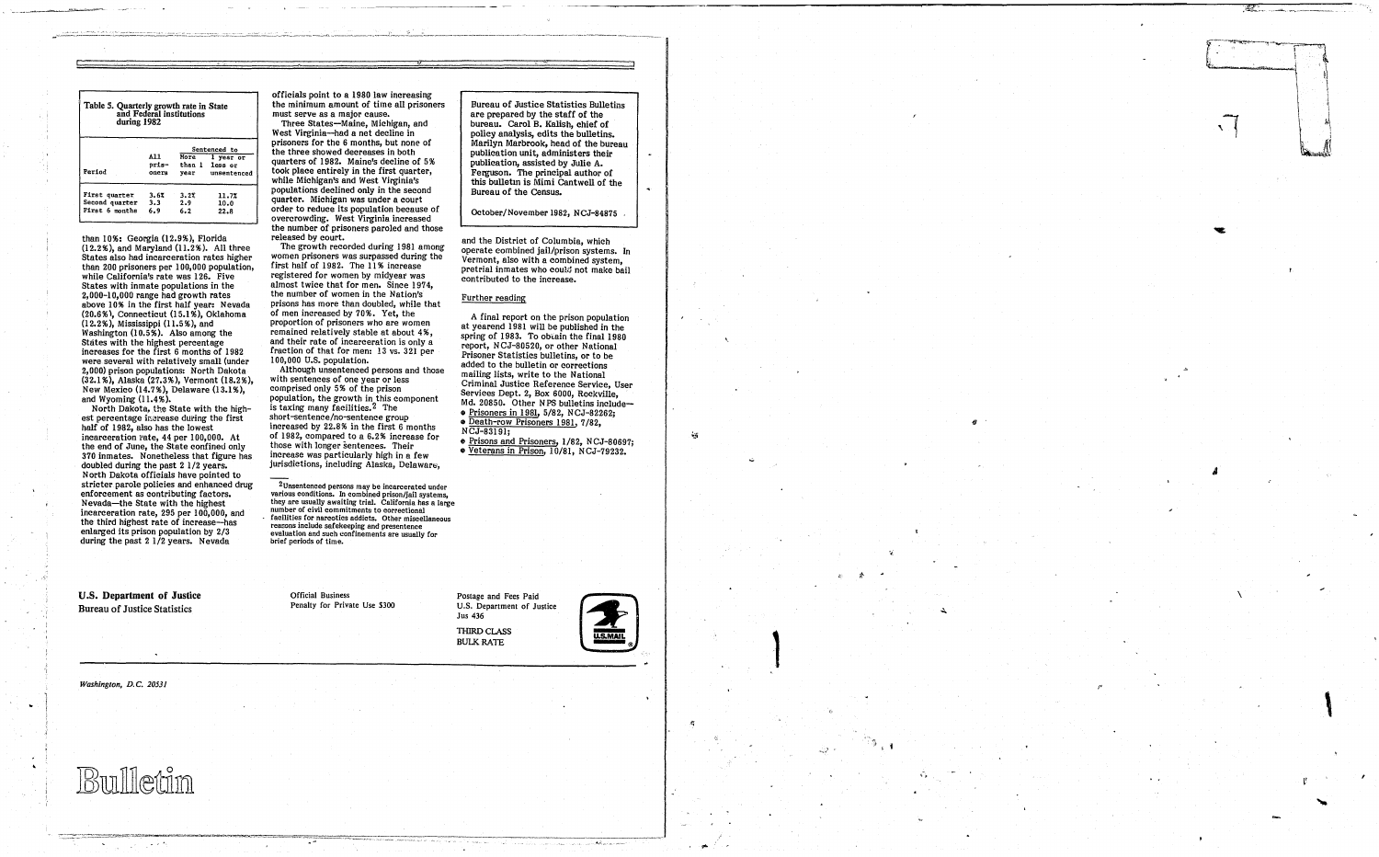| Table 5. Quarterly growth rate in State<br>during 1982 |                | and Federal institutions |                               |  |
|--------------------------------------------------------|----------------|--------------------------|-------------------------------|--|
|                                                        |                | Sentenced to             |                               |  |
|                                                        | A11            |                          | More 1 year or                |  |
| Period                                                 | pris-<br>oners | vear                     | than 1 less or<br>unsencenced |  |
| First quarter<br>Second quarter                        | 3.62<br>3.3    | 3.22<br>2.9              | 11.7%<br>10.0                 |  |
| First 6 months                                         | 6.9            | 6.2                      | 22.8                          |  |

than 10%: Georgia (12.9%), Florida (12.2%), and Maryland (11.2%). All three States also had incarceration rates higher than 200 prisoners per 100,000 population, while California's rate was 126. Five States with inmate populations in the 2,000-10,000 range had growth rates above 10% in the first half year: Nevada (20.6 %), Connecticut (15.1 %), Oklahoma (12.2%), Mississippi (11.5%), and Washington (10.5%). Also among the States with the highest percentage<br>increases for the first 6 months of 1982 were several with relatively small (under 2,000) prison populations: North Dakota (32.1 %), Alaska (27.3%), Vermont (18.2%), New Mexico (14.7%), Delaware (13.1%), and Wyoming (11.4%).

North Dakota, the State with the highest percentage increase during the first half of 1982, also has the lowest incarceration rate, 44 per 100,000. At the end of June, the State confined only 370 inmates. Nonetheless that figure has doubled during the past 2 1/2 years. North Dakota officials have pointed to stricter parole policies and enhanced drug enforcement as contributing factors. Nevada-the State with the highest incarceration rate, 295 per 100,000, and the third highest rate of increase-has enlarged its prison population by 2/3 during the past 2 1/2 years. Nevada

officials point to a 1980 law increasing the minimum amount of time all prisoners<br>must serve as a major cause.

Three States-Maine, Michigan, and West Virginia-had a net decline in prisoners for the 6 months, but none of the three showed decreases in both quarters of 1982. Maine's decline of 5 % took place entirely in the first quarter, while Michigan's and West Virginia's populations declined only in the second quarter. Michigan was under a court order to reduce its population because of overcrowding. West Virginia increased the number of prisoners paroled and those released by court.

Although unsentenced persons and those with sentences of one year or less comprised only 5% of the prison population, the growth in this component is taxing many facilities. 2 The short-sentence/no-sentence group increased by 22.8% in the first 6 months of 1982, compared to a 6.2% increase for those with longer sentences. Their increase was particularly high in a few jurisdictions, including Alaska, Delaware,

U.S. Department of Justice Bureau of Justice Statistics

*Washington, D.C. 20531* 

**Bin Heinn** 

 $\sim 1000$   $\mu$ 

A final report on the prison population at yearend 1981 will be published in the spring of 1983. To obtain the final 1980 report, NCJ-80520, or other National Prisoner Statistics bulletins, or to be added to the hulletin or corrections mailing lists, write to the National Criminal Justice Reference Service, User Services Dept. 2, Box 6000, Rockville, Md. 20850. Other NPS bulletins include-• Prisoners in 1981, 5/82, NCJ-82262;<br>• Death-row Prisoners 1981, 7/82, NCJ-83191;

 $e$  Prisons and Prisoners, 1/82, NCJ-80697; • Veterans in Prison, 10/81, N CJ-79232.

THIRD CLASS BULK RATE



The growth recorded during 1981 among women prisoners was surpassed during the first half of 1982. The 11% increase registered for women by midyear was almost twice that for men. Since 1974, the number of women in the Nation's prisons has more than doubled, while that of men increased by 70%. Yet, the proportion of prisoners who are women remained relatively stable at about 4%,<br>and their rate of incarceration is only a fraction of that for men: 13 vs. 321 per 100,000 U.S. population.

2Unsentenced persons may be incarcerated under various conditions. In combined prison/jail systems, they are usually awaiting trial. California has a large number of civil commitments to correctional<br>facilities for narcotics addicts. Other miscellan facilities for narcotics addicts. Other miscellaneous<br>reasons include safekeeping and presentence<br>evaluation and such confinements are usually for brief periods of time.

> Official Business Penalty for Private Use \$300

Bureau of Justice Statistics Bulletins are prepared by the staff of the bureau. carol B. Kalish, chief of policy analysis, edits the bulletins. Marilyn Marbrook, head of the bureau publication unit, administers their publication, assisted by Julie A. Ferguson. The principal author of this bulletm is Mimi cantwell of the Bureau of the Census.

October/November 1982, NCJ-84875

and the District of Columbia, which operate combined jail/prison systems. In Vermont, also with a combined system, pretrial inmates who could not make bail contributed to the increase.

## Further reading

Postage and Fees Paid U.S. Department of Justice Jus 436

,

 $\frac{1}{2}$ 

.. 1